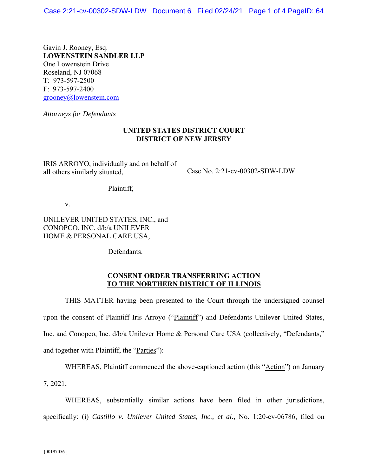Gavin J. Rooney, Esq. **LOWENSTEIN SANDLER LLP**  One Lowenstein Drive Roseland, NJ 07068 T: 973-597-2500 F: 973-597-2400 grooney@lowenstein.com

*Attorneys for Defendants* 

## **UNITED STATES DISTRICT COURT DISTRICT OF NEW JERSEY**

IRIS ARROYO, individually and on behalf of all others similarly situated,

Plaintiff,

v.

UNILEVER UNITED STATES, INC., and CONOPCO, INC. d/b/a UNILEVER HOME & PERSONAL CARE USA,

Defendants.

Case No. 2:21-cv-00302-SDW-LDW

## **CONSENT ORDER TRANSFERRING ACTION TO THE NORTHERN DISTRICT OF ILLINOIS**

THIS MATTER having been presented to the Court through the undersigned counsel upon the consent of Plaintiff Iris Arroyo ("Plaintiff") and Defendants Unilever United States, Inc. and Conopco, Inc. d/b/a Unilever Home & Personal Care USA (collectively, "Defendants," and together with Plaintiff, the "Parties"):

WHEREAS, Plaintiff commenced the above-captioned action (this "Action") on January

7, 2021;

WHEREAS, substantially similar actions have been filed in other jurisdictions, specifically: (i) *Castillo v. Unilever United States, Inc., et al.*, No. 1:20-cv-06786, filed on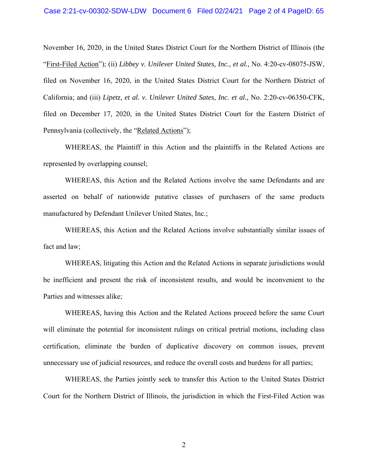November 16, 2020, in the United States District Court for the Northern District of Illinois (the "First-Filed Action"); (ii) *Libbey v. Unilever United States, Inc., et al.*, No. 4:20-cv-08075-JSW, filed on November 16, 2020, in the United States District Court for the Northern District of California; and (iii) *Lipetz, et al. v. Unilever United Sates, Inc. et al.,* No. 2:20-cv-06350-CFK, filed on December 17, 2020, in the United States District Court for the Eastern District of Pennsylvania (collectively, the "Related Actions");

WHEREAS, the Plaintiff in this Action and the plaintiffs in the Related Actions are represented by overlapping counsel;

WHEREAS, this Action and the Related Actions involve the same Defendants and are asserted on behalf of nationwide putative classes of purchasers of the same products manufactured by Defendant Unilever United States, Inc.;

WHEREAS, this Action and the Related Actions involve substantially similar issues of fact and law;

WHEREAS, litigating this Action and the Related Actions in separate jurisdictions would be inefficient and present the risk of inconsistent results, and would be inconvenient to the Parties and witnesses alike;

WHEREAS, having this Action and the Related Actions proceed before the same Court will eliminate the potential for inconsistent rulings on critical pretrial motions, including class certification, eliminate the burden of duplicative discovery on common issues, prevent unnecessary use of judicial resources, and reduce the overall costs and burdens for all parties;

WHEREAS, the Parties jointly seek to transfer this Action to the United States District Court for the Northern District of Illinois, the jurisdiction in which the First-Filed Action was

2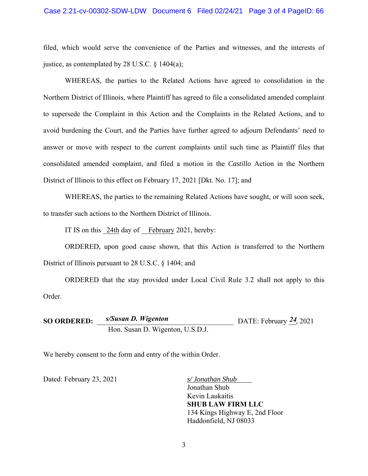## Case 2:21-cv-00302-SDW-LDW Document 6 Filed 02/24/21 Page 3 of 4 PageID: 66

filed, which would serve the convenience of the Parties and witnesses, and the interests of justice, as contemplated by 28 U.S.C.  $\S$  1404(a);

WHEREAS, the parties to the Related Actions have agreed to consolidation in the Northern District of Illinois, where Plaintiff has agreed to file a consolidated amended complaint to supersede the Complaint in this Action and the Complaints in the Related Actions, and to avoid burdening the Court, and the Parties have further agreed to adjourn Defendants' need to answer or move with respect to the current complaints until such time as Plaintiff files that consolidated amended complaint, and filed a motion in the *Castillo* Action in the Northern District of Illinois to this effect on February 17, 2021 [Dkt. No. 17]; and

WHEREAS, the parties to the remaining Related Actions have sought, or will soon seek, to transfer such actions to the Northern District of Illinois.

IT IS on this 24th day of February 2021, hereby:

ORDERED, upon good cause shown, that this Action is transferred to the Northern District of Illinois pursuant to 28 U.S.C. § 1404; and

ORDERED that the stay provided under Local Civil Rule 3.2 shall not apply to this Order.

**SO ORDERED:**  $s/Susan D. Wigenton$  DATE: February 24, 2021 Hon. Susan D. Wigenton, U.S.D.J.

We hereby consent to the form and entry of the within Order.

Dated: February 23, 2021 *s/ Jonathan Shub* 

Jonathan Shub Kevin Laukaitis **SHUB LAW FIRM LLC**  134 Kings Highway E, 2nd Floor Haddonfield, NJ 08033